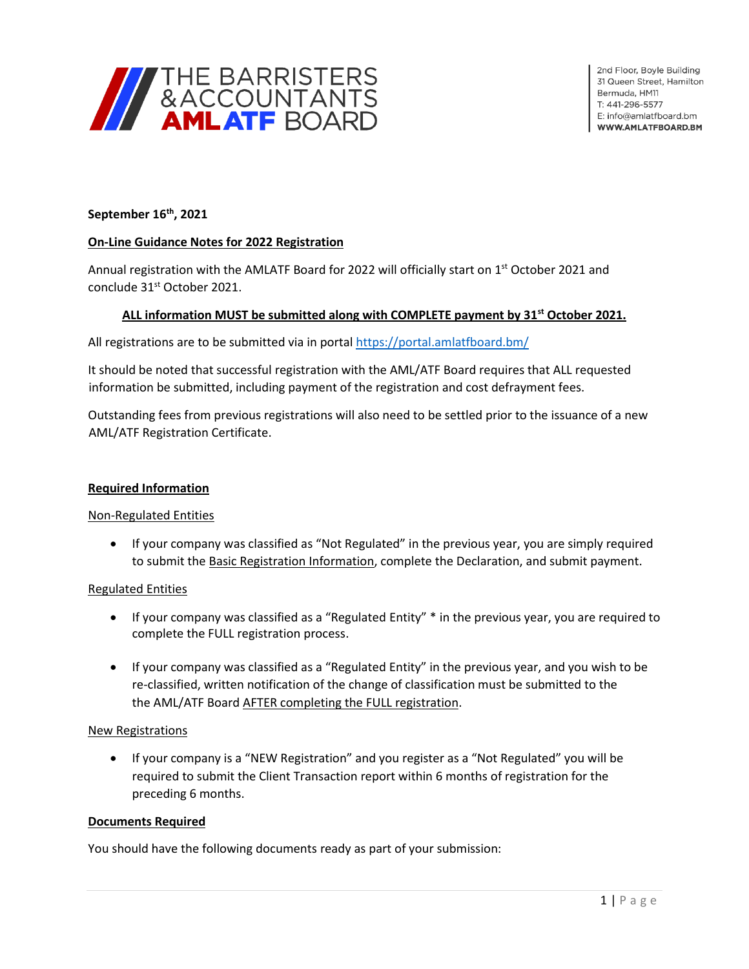

# **September 16th , 2021**

## **On-Line Guidance Notes for 2022 Registration**

Annual registration with the AMLATF Board for 2022 will officially start on 1<sup>st</sup> October 2021 and conclude 31<sup>st</sup> October 2021.

## **ALL information MUST be submitted along with COMPLETE payment by 31st October 2021.**

All registrations are to be submitted via in portal<https://portal.amlatfboard.bm/>

It should be noted that successful registration with the AML/ATF Board requires that ALL requested information be submitted, including payment of the registration and cost defrayment fees.

Outstanding fees from previous registrations will also need to be settled prior to the issuance of a new AML/ATF Registration Certificate.

## **Required Information**

## Non-Regulated Entities

• If your company was classified as "Not Regulated" in the previous year, you are simply required to submit the **Basic Registration Information**, complete the Declaration, and submit payment.

#### Regulated Entities

- If your company was classified as a "Regulated Entity" \* in the previous year, you are required to complete the FULL registration process.
- If your company was classified as a "Regulated Entity" in the previous year, and you wish to be re-classified, written notification of the change of classification must be submitted to the the AML/ATF Board AFTER completing the FULL registration.

#### New Registrations

• If your company is a "NEW Registration" and you register as a "Not Regulated" you will be required to submit the Client Transaction report within 6 months of registration for the preceding 6 months.

## **Documents Required**

You should have the following documents ready as part of your submission: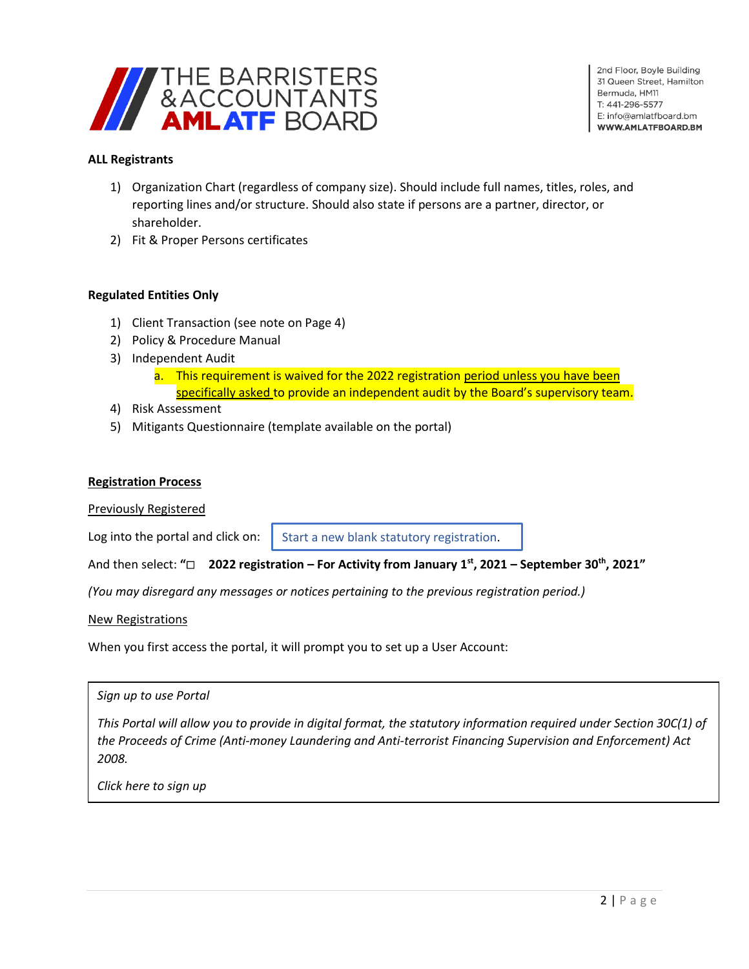

## **ALL Registrants**

- 1) Organization Chart (regardless of company size). Should include full names, titles, roles, and reporting lines and/or structure. Should also state if persons are a partner, director, or shareholder.
- 2) Fit & Proper Persons certificates

## **Regulated Entities Only**

- 1) Client Transaction (see note on Page 4)
- 2) Policy & Procedure Manual
- 3) Independent Audit
	- a. This requirement is waived for the 2022 registration period unless you have been specifically asked to provide an independent audit by the Board's supervisory team.
- 4) Risk Assessment
- 5) Mitigants Questionnaire (template available on the portal)

#### **Registration Process**

Previously Registered

Log into the portal and click on:

Start a new blank statutory registration.

And then select: **"2022 registration – For Activity from January 1 st, 2021 – September 30th, 2021"**

*(You may disregard any messages or notices pertaining to the previous registration period.)*

New Registrations

When you first access the portal, it will prompt you to set up a User Account:

| Sign up to use Portal                                                                                               |  |
|---------------------------------------------------------------------------------------------------------------------|--|
| This Portal will allow you to provide in digital format, the statutory information required under Section 30C(1) of |  |
| the Proceeds of Crime (Anti-money Laundering and Anti-terrorist Financing Supervision and Enforcement) Act          |  |
| 2008.                                                                                                               |  |
|                                                                                                                     |  |

*Click here to sign up*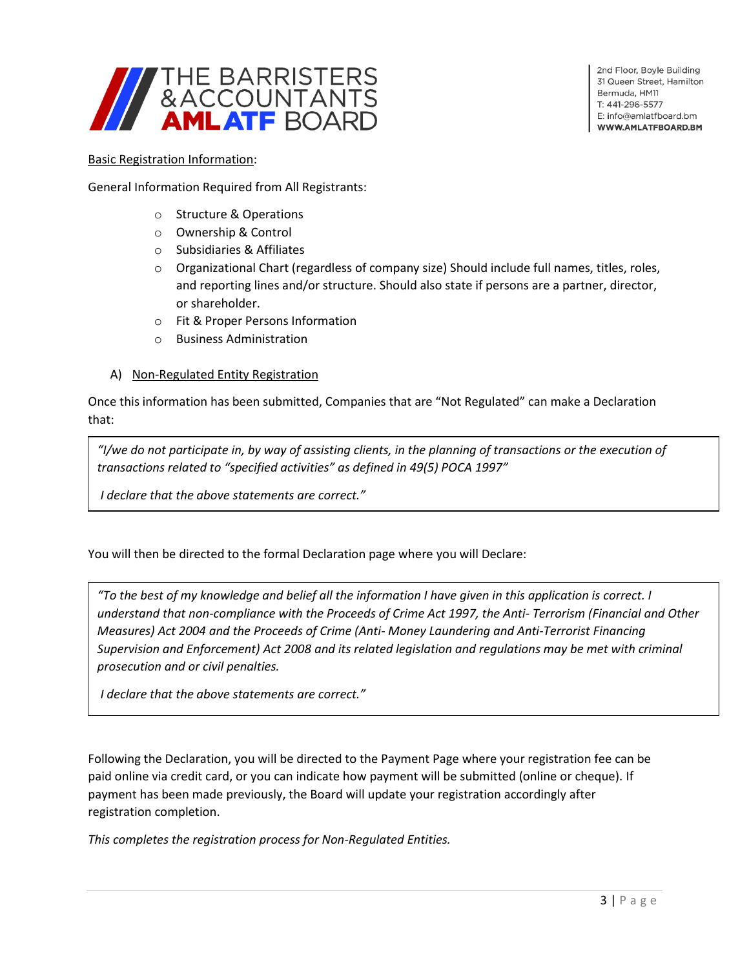

2nd Floor, Boyle Building 31 Queen Street, Hamilton Bermuda, HM11 T: 441-296-5577 E: info@amlatfboard.bm WWW.AMLATFBOARD.BM

#### Basic Registration Information:

General Information Required from All Registrants:

- o Structure & Operations
- o Ownership & Control
- o Subsidiaries & Affiliates
- o Organizational Chart (regardless of company size) Should include full names, titles, roles, and reporting lines and/or structure. Should also state if persons are a partner, director, or shareholder.
- o Fit & Proper Persons Information
- o Business Administration

#### A) Non-Regulated Entity Registration

Once this information has been submitted, Companies that are "Not Regulated" can make a Declaration that:

*"I/we do not participate in, by way of assisting clients, in the planning of transactions or the execution of transactions related to "specified activities" as defined in 49(5) POCA 1997"*

*I declare that the above statements are correct."*

You will then be directed to the formal Declaration page where you will Declare:

*"To the best of my knowledge and belief all the information I have given in this application is correct. I understand that non-compliance with the Proceeds of Crime Act 1997, the Anti- Terrorism (Financial and Other Measures) Act 2004 and the Proceeds of Crime (Anti- Money Laundering and Anti-Terrorist Financing Supervision and Enforcement) Act 2008 and its related legislation and regulations may be met with criminal prosecution and or civil penalties.*

*I declare that the above statements are correct."*

Following the Declaration, you will be directed to the Payment Page where your registration fee can be paid online via credit card, or you can indicate how payment will be submitted (online or cheque). If payment has been made previously, the Board will update your registration accordingly after registration completion.

*This completes the registration process for Non-Regulated Entities.*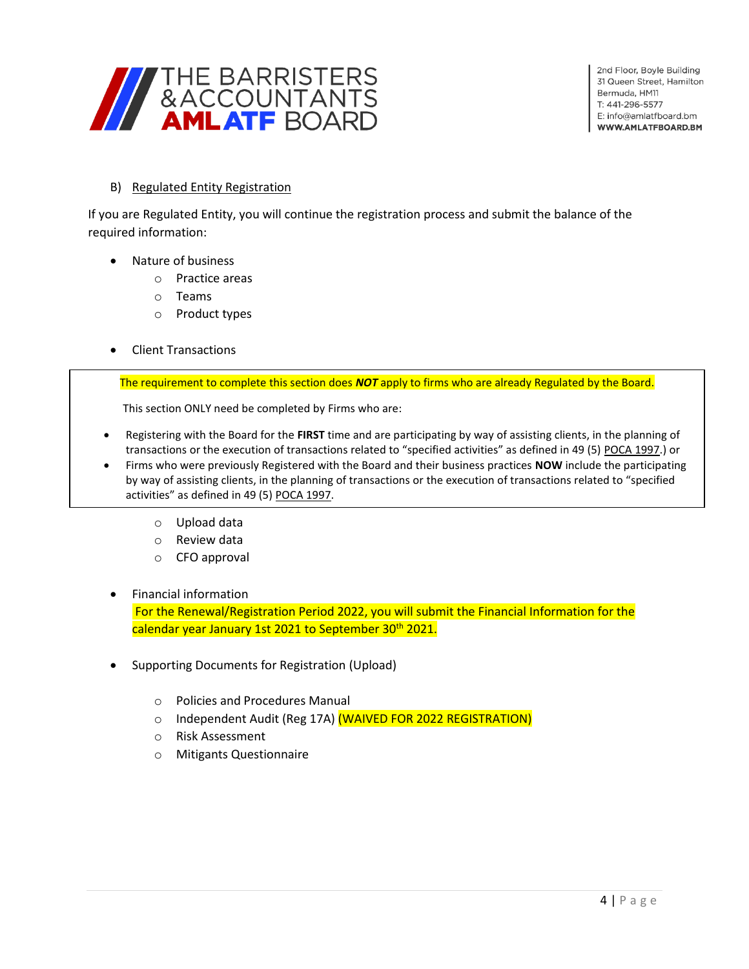

# B) Regulated Entity Registration

If you are Regulated Entity, you will continue the registration process and submit the balance of the required information:

- Nature of business
	- o Practice areas
	- o Teams
	- o Product types
- Client Transactions

The requirement to complete this section does *NOT* apply to firms who are already Regulated by the Board.

This section ONLY need be completed by Firms who are:

- Registering with the Board for the **FIRST** time and are participating by way of assisting clients, in the planning of transactions or the execution of transactions related to "specified activities" as defined in 49 (5) POCA 1997.) or
- Firms who were previously Registered with the Board and their business practices **NOW** include the participating by way of assisting clients, in the planning of transactions or the execution of transactions related to "specified activities" as defined in 49 (5) POCA 1997.
	- o Upload data
	- o Review data
	- o CFO approval
- Financial information

For the Renewal/Registration Period 2022, you will submit the Financial Information for the calendar year January 1st 2021 to September 30<sup>th</sup> 2021.

- Supporting Documents for Registration (Upload)
	- o Policies and Procedures Manual
	- o Independent Audit (Reg 17A) (WAIVED FOR 2022 REGISTRATION)
	- o Risk Assessment
	- o Mitigants Questionnaire